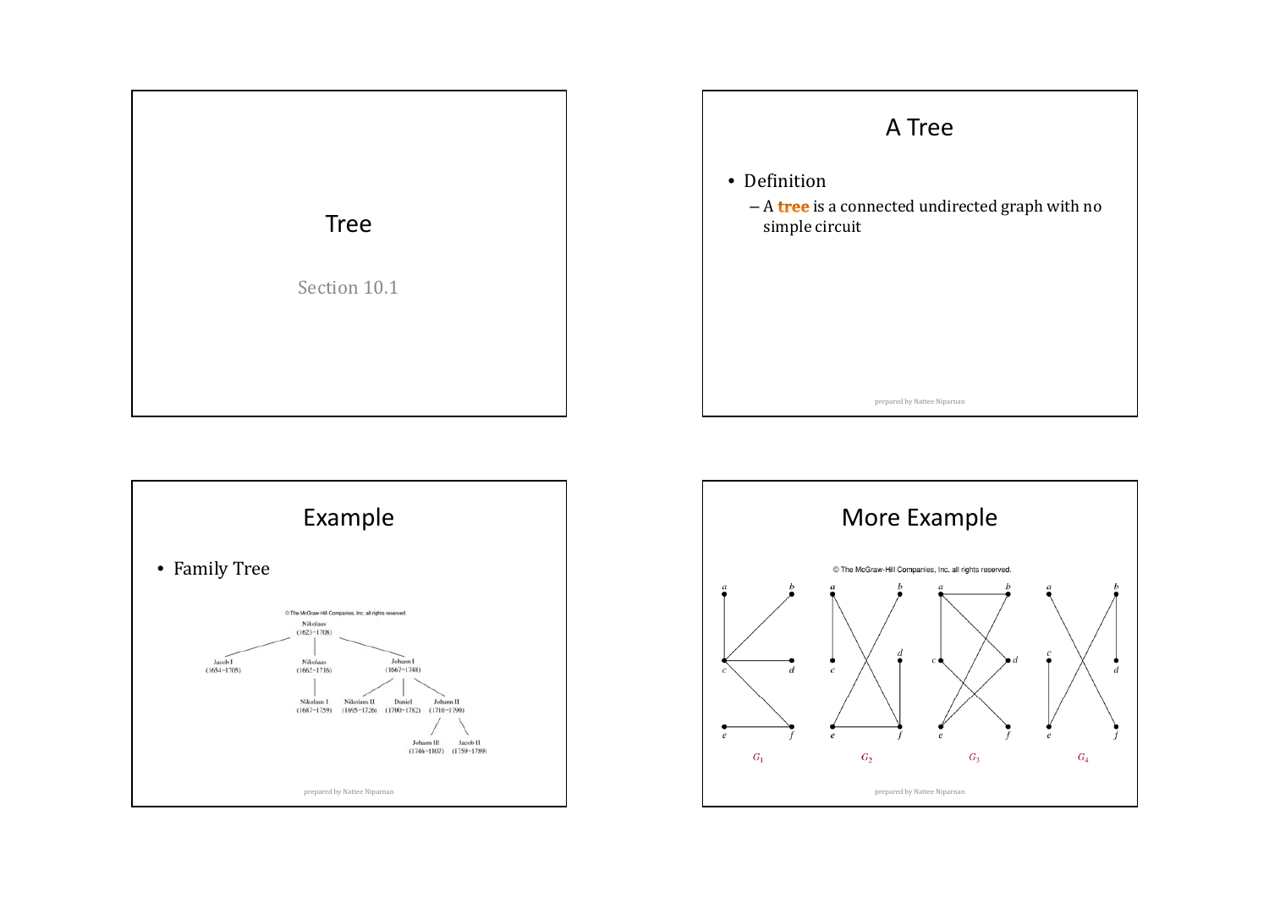





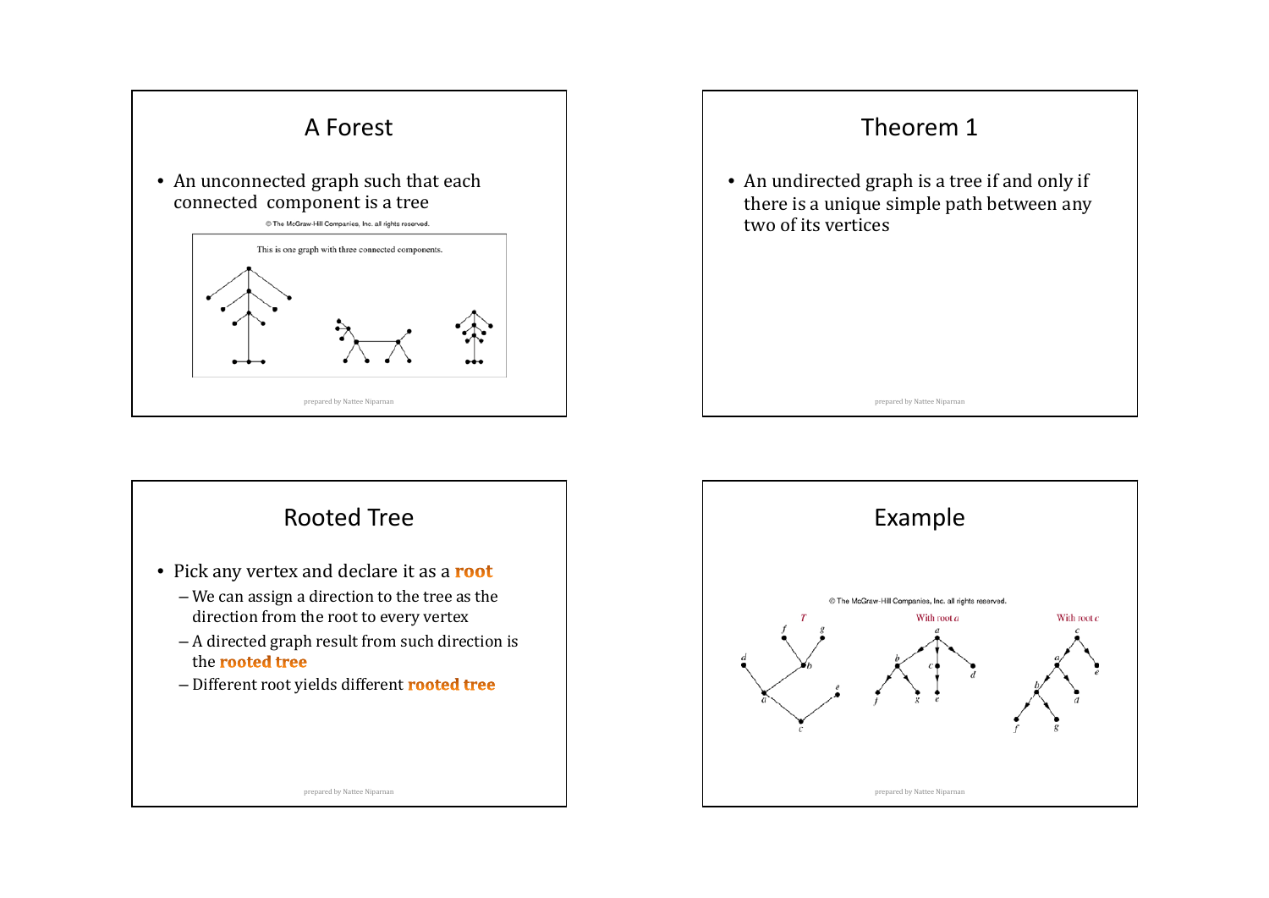





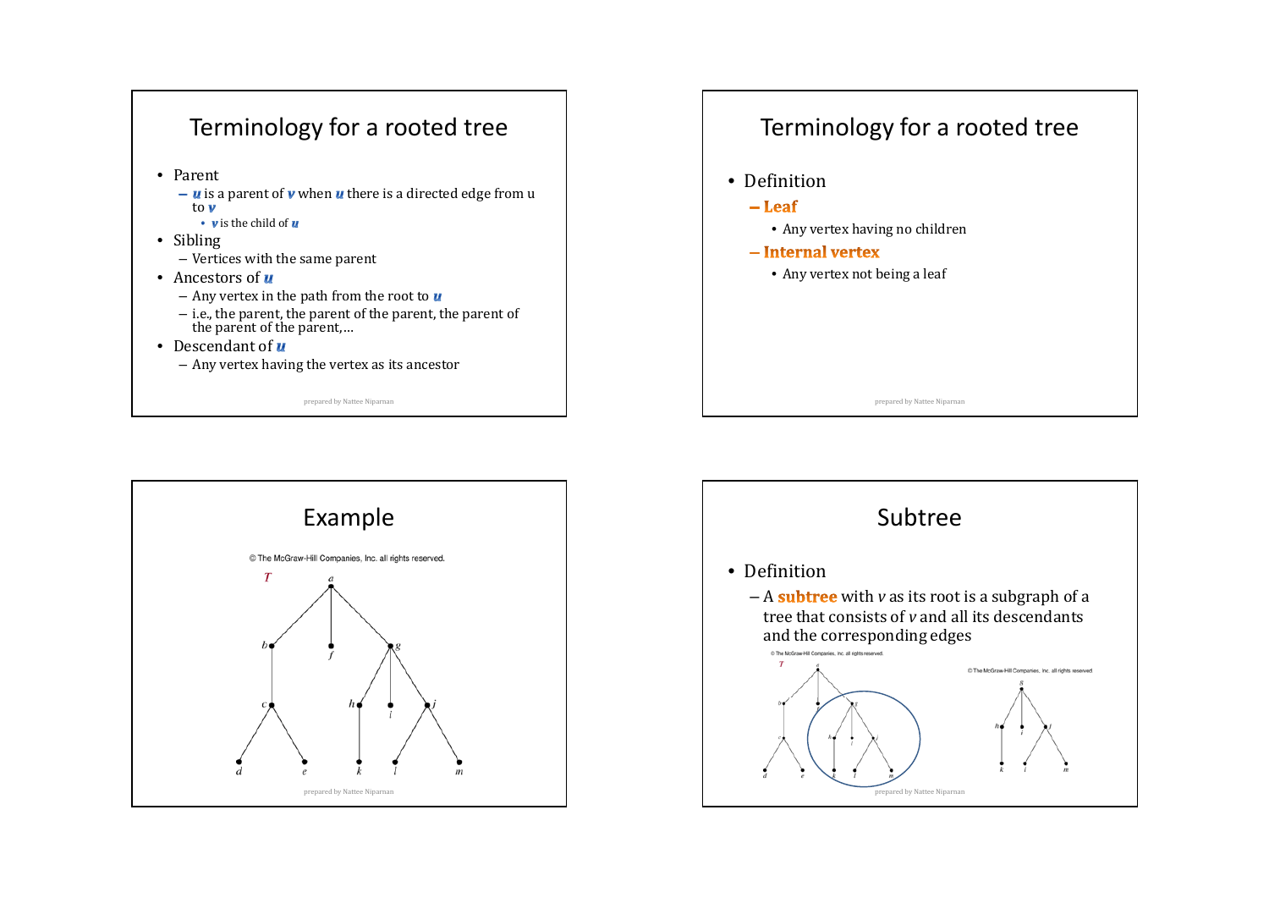

# Terminology for <sup>a</sup> rooted tree

- Definition
	- $-Lear$ 
		- Any vertex having no children
	- $-$ Internal vertex
		- Any vertex not being a leaf





prepared by Nattee Niparnan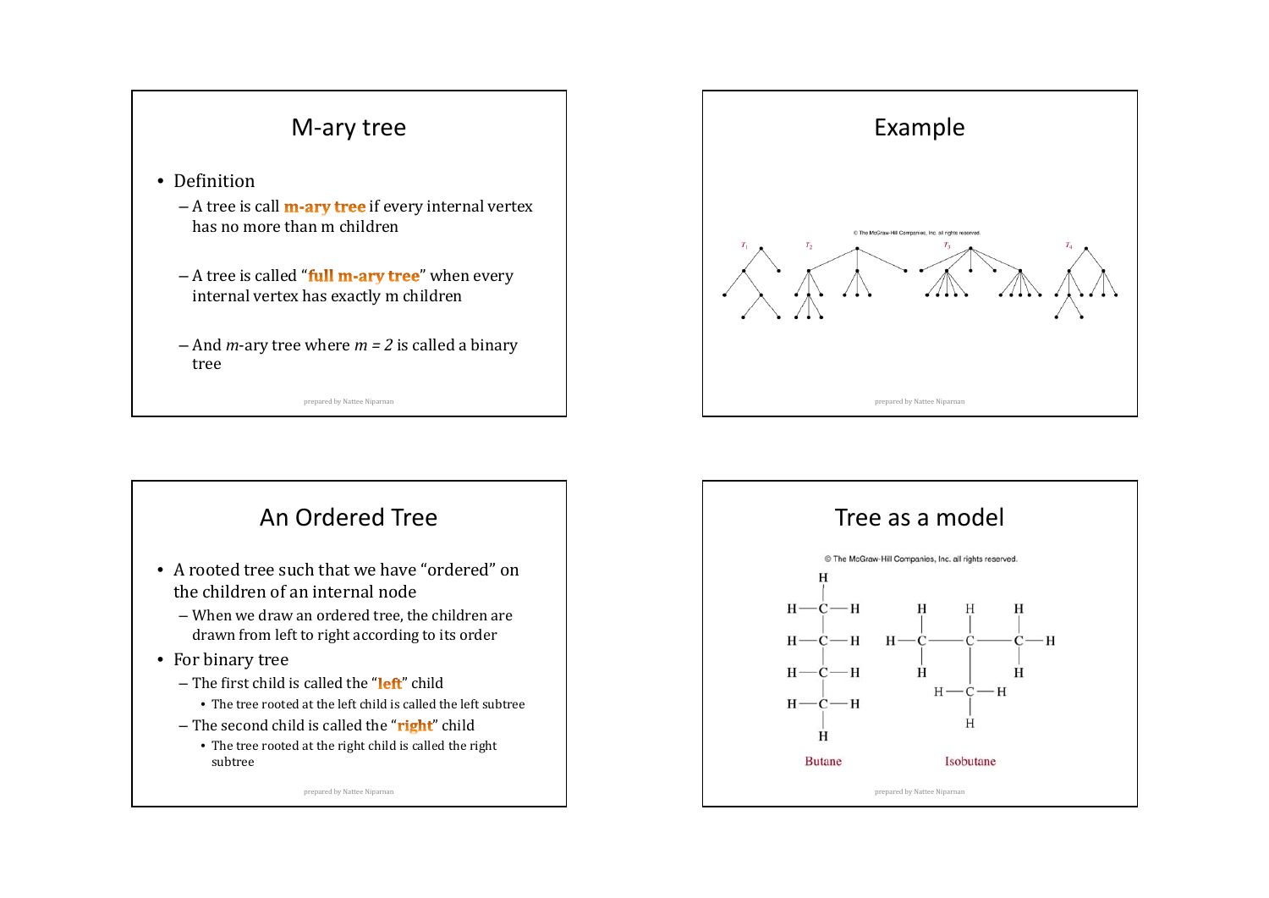



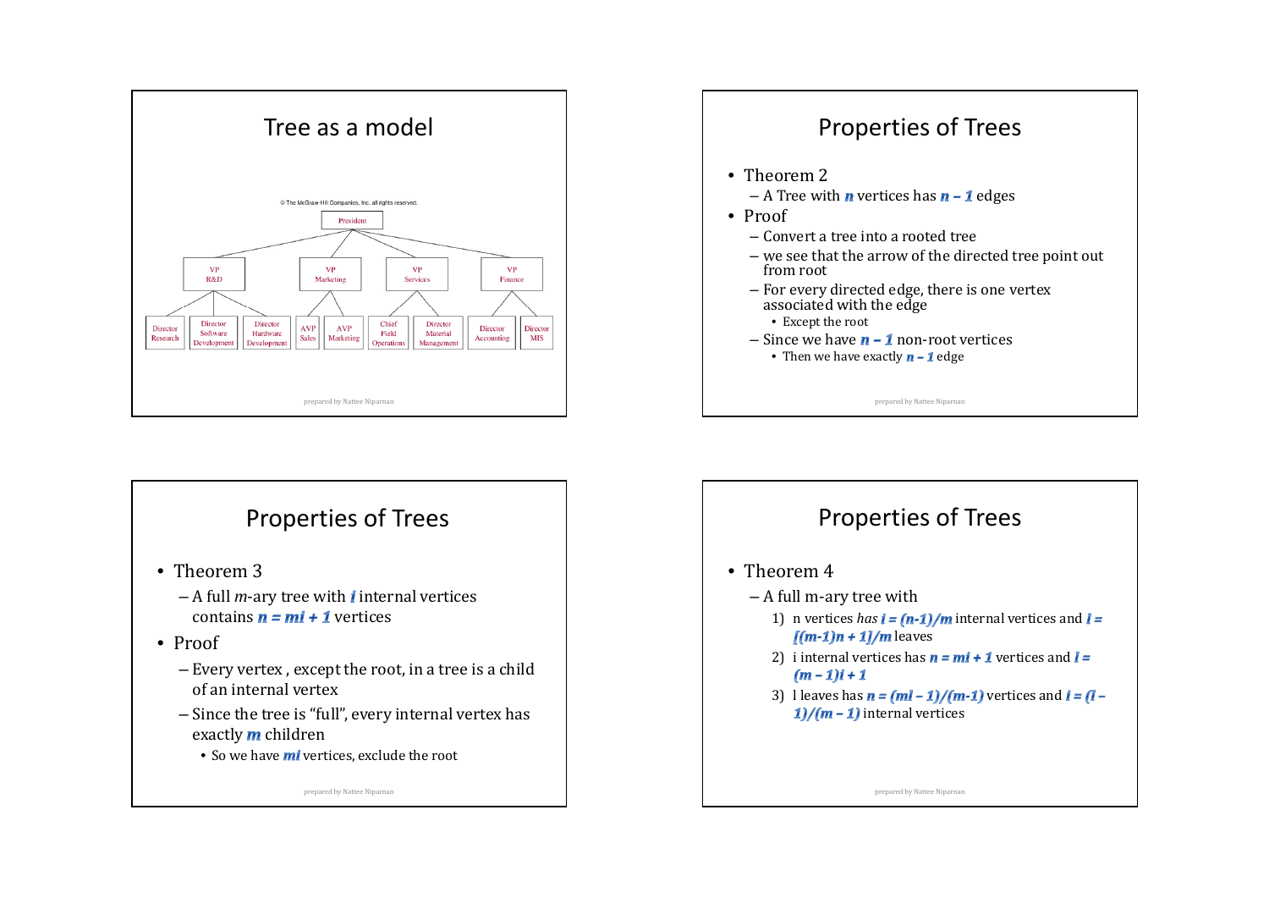





- Theorem 3
	- A full *m*-ary tree with *i* internal vertices contains **n = mi + 1** vertices

#### • Proof

- Every vertex , except the root, in a tree is a child of an internal vertex
- Since the tree is "full", every internal vertex has exactly  **children** 
	- $\bullet\,$  So we have  $\bm{m}$ i vertices, exclude the root





- Theorem 2
	- A Tree with **n** vertices has **n 1** edges
- Proof
	- Convert a tree into a rooted tree
	- we see that the arrow of the directed tree point out from root
	- For every directed edge, there is one vertex associated with the edge
		- Except the root
	- Since we have **n 1** non-root vertices
		- Then we have exactly  $\boldsymbol{n}$   $\boldsymbol{1}$  edge

prepared by Nattee Niparnan

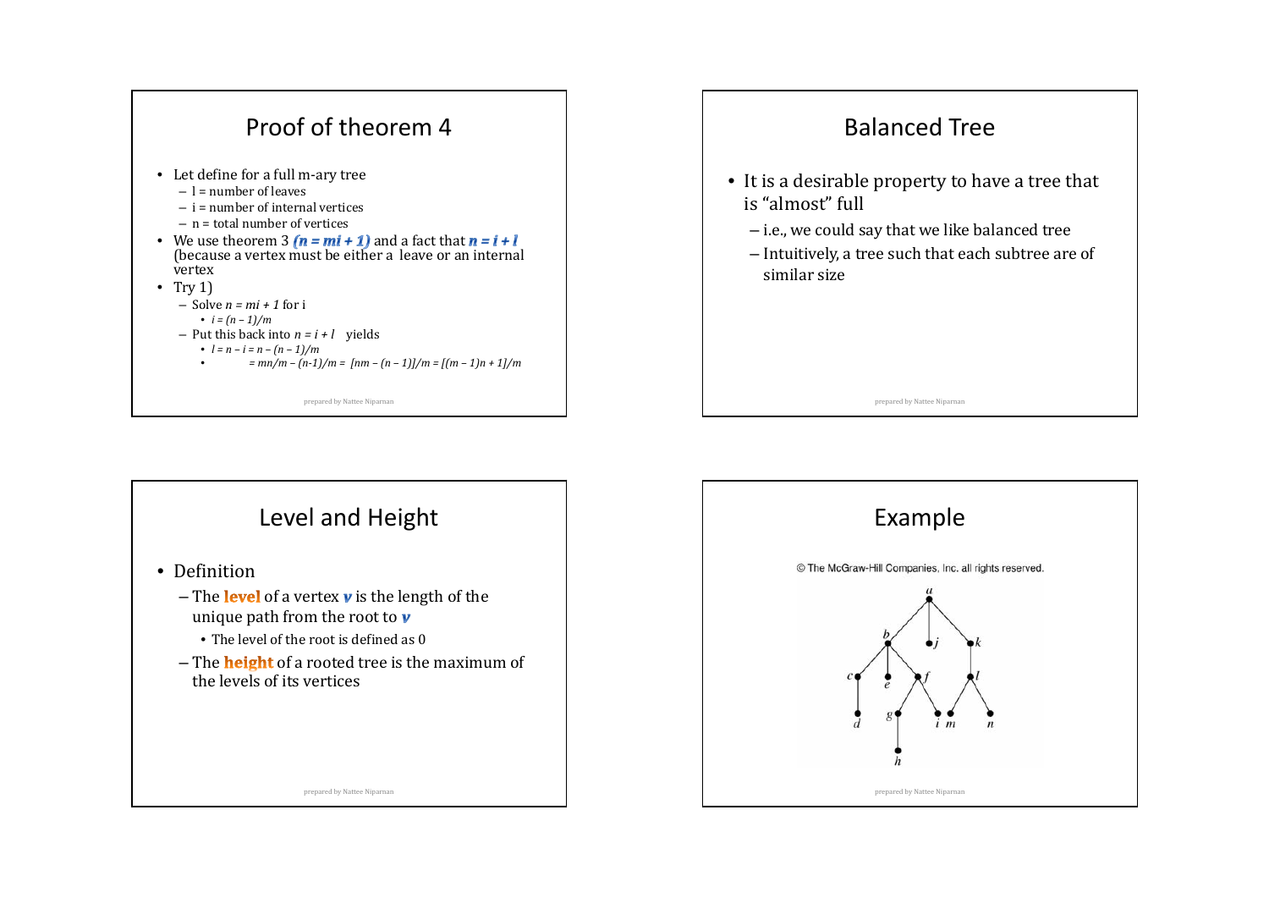



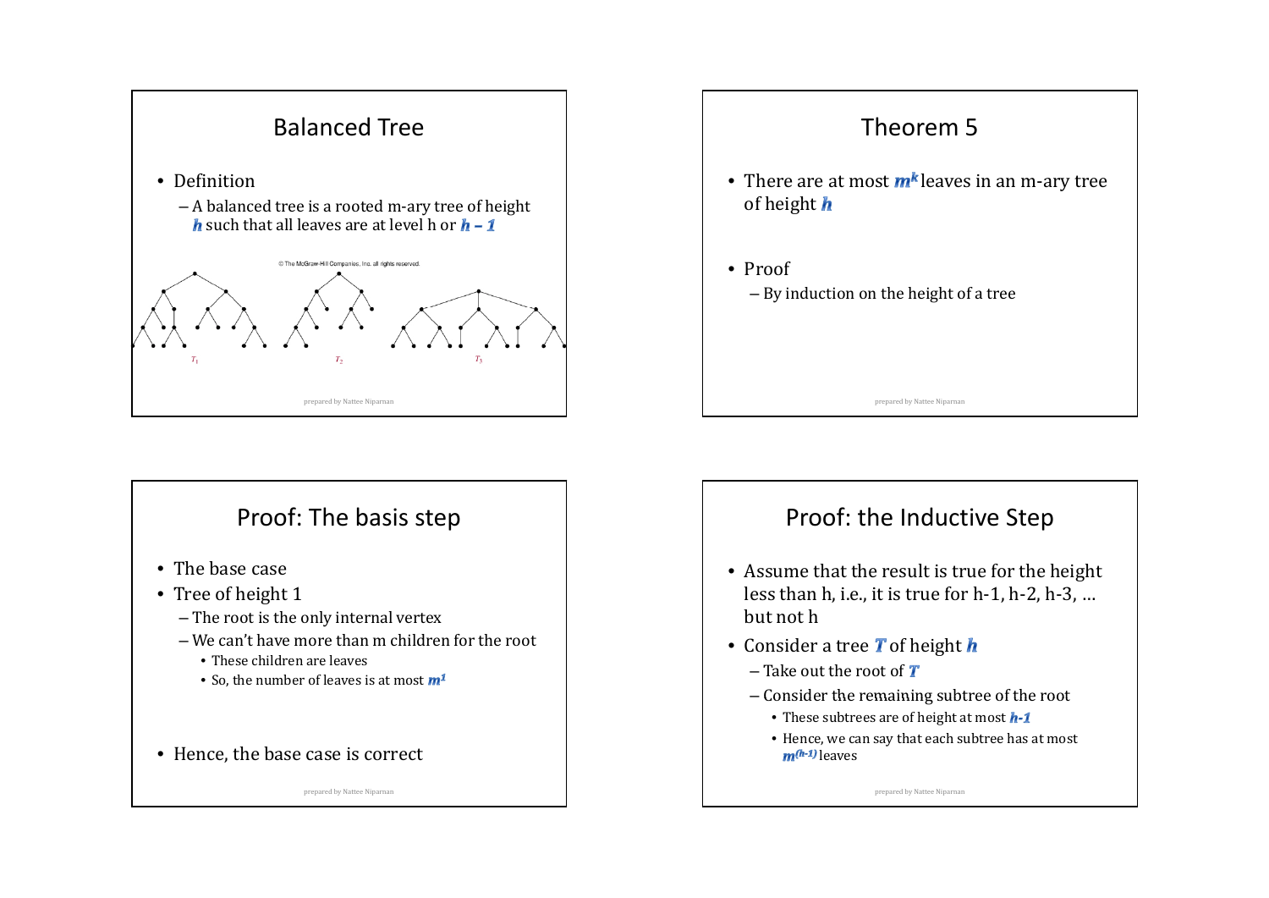

# Proof: The basis step

- The base case
- Tree of height 1
	- The root is the only internal vertex
	- We can't have more than m children for the root
		- These children are leaves
		- So, the number of leaves is at most
- Hence, the base case is correct

prepared by Nattee Niparnan



### Proof: the Inductive Step

- Assume that the result is true for the height less than h, i.e., it is true for h-1, h-2, h-3, ... but not h
- Consider a tree  $\boldsymbol{T}$  of height
	- Take out the root of
	- Consider the remaining subtree of the root
		- These subtrees are of height at most
		- Hence, we can say that each subtree has at most leaves

prepared by Nattee Niparnan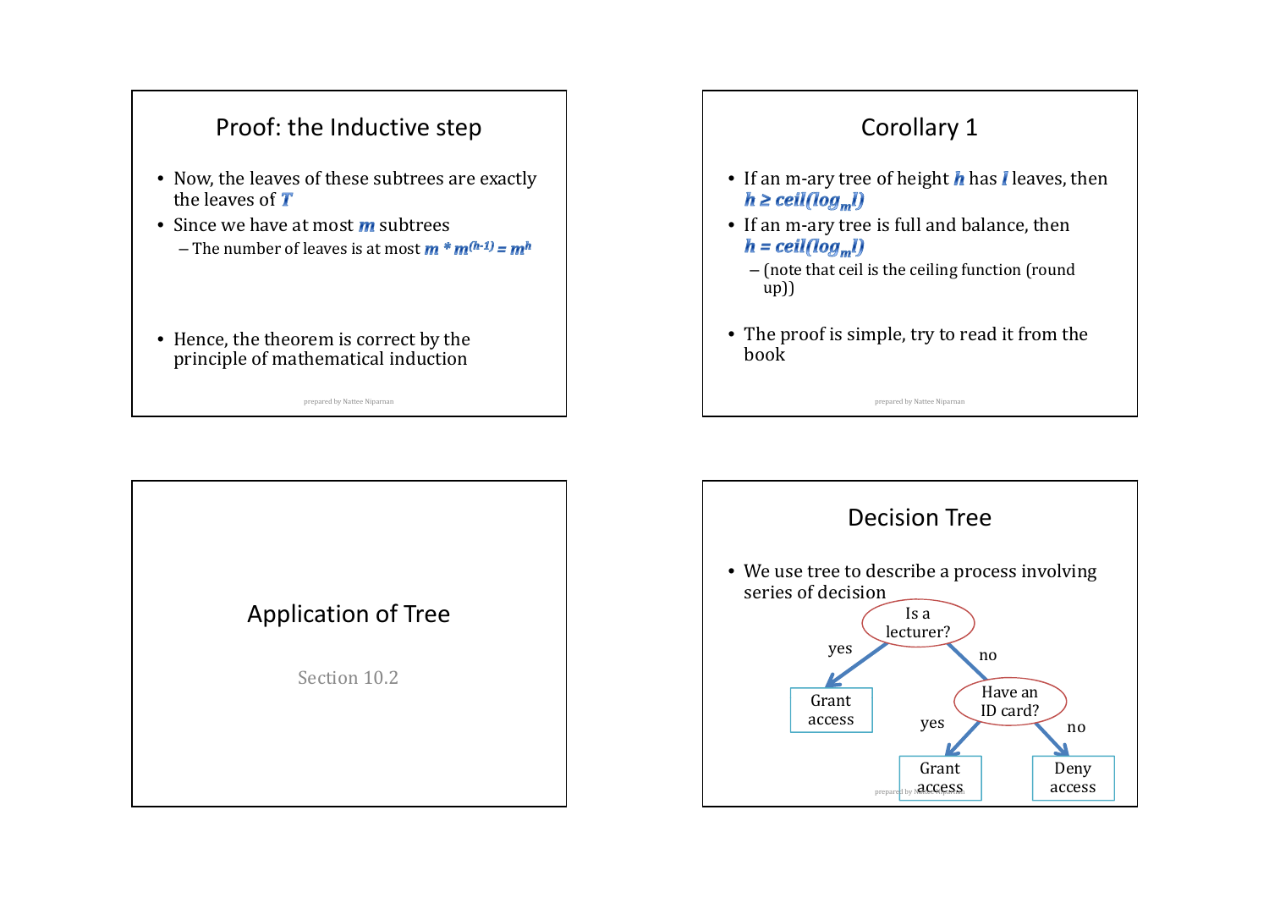# Proof: the Inductive step

- Now, the leaves of these subtrees are exactly the leaves of  $$
- Since we have at most  $\boldsymbol{m}$  subtrees – The number of leaves is at most
- Hence, the theorem is correct by the principle of mathematical induction

prepared by Nattee Niparnan

# Corollary 1

- If an m-ary tree of height  $h$  has  $l$  leaves, then
- If an m‐ary tree is full and balance, then  $h =$  ceil(log<sub>m</sub>l)
	- (note that ceil is the ceiling function (round up))
- The proof is simple, try to read it from the book

prepared by Nattee Niparnan

Application of Tree

Section 10.2